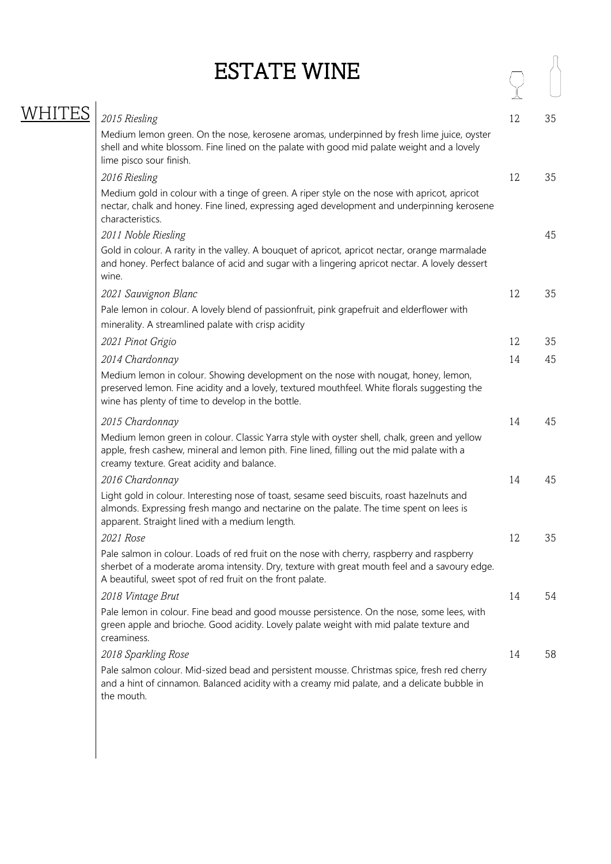| <b>ESTATE WINE</b> |
|--------------------|
|--------------------|

|      | <b>ESTATE WINE</b>                                                                                                                                                                                                                                       |    |    |
|------|----------------------------------------------------------------------------------------------------------------------------------------------------------------------------------------------------------------------------------------------------------|----|----|
| WHIT | 2015 Riesling                                                                                                                                                                                                                                            | 12 | 35 |
|      | Medium lemon green. On the nose, kerosene aromas, underpinned by fresh lime juice, oyster<br>shell and white blossom. Fine lined on the palate with good mid palate weight and a lovely<br>lime pisco sour finish.                                       |    |    |
|      | 2016 Riesling                                                                                                                                                                                                                                            | 12 | 35 |
|      | Medium gold in colour with a tinge of green. A riper style on the nose with apricot, apricot<br>nectar, chalk and honey. Fine lined, expressing aged development and underpinning kerosene<br>characteristics.                                           |    |    |
|      | 2011 Noble Riesling                                                                                                                                                                                                                                      |    | 45 |
|      | Gold in colour. A rarity in the valley. A bouquet of apricot, apricot nectar, orange marmalade<br>and honey. Perfect balance of acid and sugar with a lingering apricot nectar. A lovely dessert<br>wine.                                                |    |    |
|      | 2021 Sauvignon Blanc                                                                                                                                                                                                                                     | 12 | 35 |
|      | Pale lemon in colour. A lovely blend of passionfruit, pink grapefruit and elderflower with<br>minerality. A streamlined palate with crisp acidity                                                                                                        |    |    |
|      | 2021 Pinot Grigio                                                                                                                                                                                                                                        | 12 | 35 |
|      | 2014 Chardonnay                                                                                                                                                                                                                                          | 14 | 45 |
|      | Medium lemon in colour. Showing development on the nose with nougat, honey, lemon,<br>preserved lemon. Fine acidity and a lovely, textured mouthfeel. White florals suggesting the<br>wine has plenty of time to develop in the bottle.                  |    |    |
|      | 2015 Chardonnay                                                                                                                                                                                                                                          | 14 | 45 |
|      | Medium lemon green in colour. Classic Yarra style with oyster shell, chalk, green and yellow<br>apple, fresh cashew, mineral and lemon pith. Fine lined, filling out the mid palate with a<br>creamy texture. Great acidity and balance.                 |    |    |
|      | 2016 Chardonnay                                                                                                                                                                                                                                          | 14 | 45 |
|      | Light gold in colour. Interesting nose of toast, sesame seed biscuits, roast hazelnuts and<br>almonds. Expressing fresh mango and nectarine on the palate. The time spent on lees is<br>apparent. Straight lined with a medium length.                   |    |    |
|      | 2021 Rose                                                                                                                                                                                                                                                | 12 | 35 |
|      | Pale salmon in colour. Loads of red fruit on the nose with cherry, raspberry and raspberry<br>sherbet of a moderate aroma intensity. Dry, texture with great mouth feel and a savoury edge.<br>A beautiful, sweet spot of red fruit on the front palate. |    |    |
|      | 2018 Vintage Brut                                                                                                                                                                                                                                        | 14 | 54 |
|      | Pale lemon in colour. Fine bead and good mousse persistence. On the nose, some lees, with<br>green apple and brioche. Good acidity. Lovely palate weight with mid palate texture and<br>creaminess.                                                      |    |    |
|      | 2018 Sparkling Rose                                                                                                                                                                                                                                      | 14 | 58 |
|      | Pale salmon colour. Mid-sized bead and persistent mousse. Christmas spice, fresh red cherry<br>and a hint of cinnamon. Balanced acidity with a creamy mid palate, and a delicate bubble in<br>the mouth.                                                 |    |    |